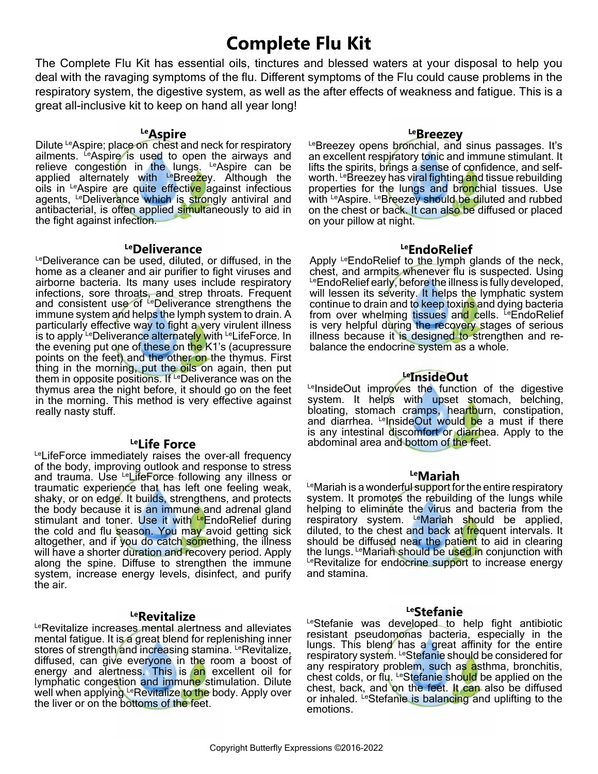# **Complete Flu Kit**

The Complete Flu Kit has essential oils, tinctures and blessed waters at your disposal to help you deal with the ravaging symptoms of the flu. Different symptoms of the Flu could cause problems in the respiratory system, the digestive system, as well as the after effects of weakness and fatigue. This is a great all-inclusive kit to keep on hand all year long!

## **LeAspire**

Dilute LeAspire; place on chest and neck for respiratory ailments. LeAspire is used to open the airways and relieve congestion in the lungs. LeAspire can be applied alternately with LeBreezey. Although the oils in LeAspire are quite effective against infectious agents, LeDeliverance which is strongly antiviral and antibacterial, is often applied simultaneously to aid in the fight against infection.

## **LeDeliverance**

LeDeliverance can be used, diluted, or diffused, in the home as a cleaner and air purifier to fight viruses and airborne bacteria. Its many uses include respiratory infections, sore throats, and strep throats. Frequent and consistent use of <sup>Le</sup>Deliverance strengthens the immune system and helps the lymph system to drain. A particularly effective way to fight a very virulent illness is to apply LeDeliverance alternately with LeLifeForce. In the evening put one of these on the K1's (acupressure points on the feet) and the other on the thymus. First thing in the morning, put the oils on again, then put them in opposite positions. If LeDeliverance was on the thymus area the night before, it should go on the feet in the morning. This method is very effective against really nasty stuff.

LeLifeForce immediately raises the over-all frequency of the body, improving outlook and response to stress and trauma. Use LeLifeForce following any illness or traumatic experience that has left one feeling weak, shaky, or on edge. It builds, strengthens, and protects the body because it is an immune and adrenal gland stimulant and toner. Use it with LeEndoRelief during the cold and flu season. You may avoid getting sick altogether, and if you do catch something, the illness will have a shorter duration and recovery period. Apply along the spine. Diffuse to strengthen the immune system, increase energy levels, disinfect, and purify the air.

## **LeRevitalize**

LeRevitalize increases mental alertness and alleviates mental fatigue. It is a great blend for replenishing inner stores of strength and increasing stamina. LeRevitalize, diffused, can give everyone in the room a boost of energy and alertness. This is an excellent oil for lymphatic congestion and immune stimulation. Dilute well when applying LeRevitalize to the body. Apply over the liver or on the bottoms of the feet.

Le**Breezey**<br><sup>Le</sup>Breezey opens bronchial, and sinus passages. It's an excellent respiratory tonic and immune stimulant. It lifts the spirits, brings a sense of confidence, and selfworth. LeBreezey has viral fighting and tissue rebuilding properties for the lungs and bronchial tissues. Use with LeAspire. LeBreezey should be diluted and rubbed on the chest or back. It can also be diffused or placed on your pillow at night.

# **LeEndoRelief**

Apply LeEndoRelief to the lymph glands of the neck, chest, and armpits whenever flu is suspected. Using LeEndoRelief early, before the illness is fully developed, will lessen its severity. It helps the lymphatic system continue to drain and to keep toxins and dying bacteria from over whelming tissues and cells. LeEndoRelief is very helpful during the recovery stages of serious illness because it is designed to strengthen and rebalance the endocrine system as a whole.

# **LeInsideOut**

LeInsideOut improves the function of the digestive system. It helps with upset stomach, belching, bloating, stomach cramps, heartburn, constipation, and diarrhea. LelnsideOut would be a must if there is any intestinal discomfort or diarrhea. Apply to the Let Life Force **abdominal area and bottom of the feet.** 

## **LeMariah**

LeMariah is a wonderful support for the entire respiratory system. It promotes the rebuilding of the lungs while helping to eliminate the virus and bacteria from the respiratory system. LeMariah should be applied, diluted, to the chest and back at frequent intervals. It should be diffused near the patient to aid in clearing the lungs. LeMariah should be used in conjunction with LeRevitalize for endocrine support to increase energy and stamina.

## **LeStefanie**

LeStefanie was developed to help fight antibiotic resistant pseudomonas bacteria, especially in the lungs. This blend has a great affinity for the entire respiratory system. LeStefanie should be considered for any respiratory problem, such as asthma, bronchitis, chest colds, or flu. LeStefanie should be applied on the chest, back, and on the feet. It can also be diffused or inhaled. LeStefanie is balancing and uplifting to the emotions.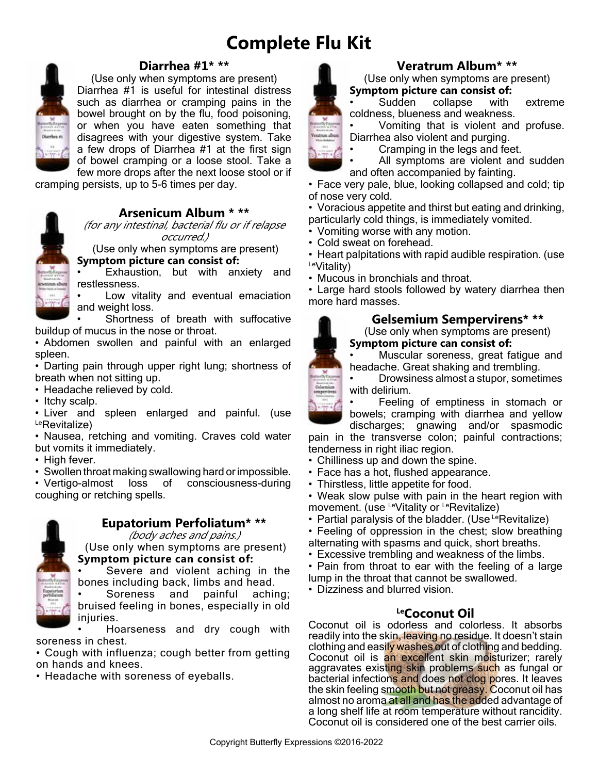# **Complete Flu Kit**



# **Diarrhea #1\* \*\***

(Use only when symptoms are present) Diarrhea #1 is useful for intestinal distress such as diarrhea or cramping pains in the bowel brought on by the flu, food poisoning, or when you have eaten something that disagrees with your digestive system. Take a few drops of Diarrhea #1 at the first sign of bowel cramping or a loose stool. Take a few more drops after the next loose stool or if

cramping persists, up to 5-6 times per day.



# **Arsenicum Album \* \*\***

(for any intestinal, bacterial flu or if relapse occurred.)

 (Use only when symptoms are present) **Symptom picture can consist of:**

Exhaustion, but with anxiety and restlessness.

Low vitality and eventual emaciation and weight loss.

• Shortness of breath with suffocative buildup of mucus in the nose or throat.

• Abdomen swollen and painful with an enlarged spleen.

• Darting pain through upper right lung; shortness of breath when not sitting up.

- Headache relieved by cold.
- Itchy scalp.
- Liver and spleen enlarged and painful. (use LeRevitalize)

• Nausea, retching and vomiting. Craves cold water but vomits it immediately.

- High fever.
- Swollen throat making swallowing hard or impossible.

• Vertigo-almost loss of consciousness-during coughing or retching spells.



# **Eupatorium Perfoliatum\* \*\***

(body aches and pains.)

 (Use only when symptoms are present) **Symptom picture can consist of:**

Severe and violent aching in the bones including back, limbs and head.

Soreness and painful aching; bruised feeling in bones, especially in old injuries.

• Hoarseness and dry cough with soreness in chest.

• Cough with influenza; cough better from getting on hands and knees.

• Headache with soreness of eyeballs.



# **Veratrum Album\* \*\***

(Use only when symptoms are present) **Symptom picture can consist of:**<br> **•** Sudden collapse with

collapse with extreme coldness, blueness and weakness.

• Vomiting that is violent and profuse. Diarrhea also violent and purging.

- Cramping in the legs and feet.
- All symptoms are violent and sudden and often accompanied by fainting.

• Face very pale, blue, looking collapsed and cold; tip of nose very cold.

• Voracious appetite and thirst but eating and drinking, particularly cold things, is immediately vomited.

- Vomiting worse with any motion.
- Cold sweat on forehead.

• Heart palpitations with rapid audible respiration. (use LeVitality)

• Mucous in bronchials and throat.

• Large hard stools followed by watery diarrhea then more hard masses.

# **Gelsemium Sempervirens\* \*\***

 (Use only when symptoms are present) **Symptom picture can consist of:**

• Muscular soreness, great fatigue and headache. Great shaking and trembling.

• Drowsiness almost a stupor, sometimes with delirium.

Feeling of emptiness in stomach or bowels; cramping with diarrhea and yellow

discharges; gnawing and/or spasmodic pain in the transverse colon; painful contractions; tenderness in right iliac region.

- Chilliness up and down the spine.
- Face has a hot, flushed appearance.
- Thirstless, little appetite for food.

• Weak slow pulse with pain in the heart region with movement. (use LeVitality or LeRevitalize)

- Partial paralysis of the bladder. (Use  $L$ eRevitalize)
- Feeling of oppression in the chest; slow breathing alternating with spasms and quick, short breaths.
- Excessive trembling and weakness of the limbs.
- Pain from throat to ear with the feeling of a large lump in the throat that cannot be swallowed.
- Dizziness and blurred vision.

# **LeCoconut Oil**

Coconut oil is odorless and colorless. It absorbs readily into the skin, leaving no residue. It doesn't stain clothing and easily washes out of clothing and bedding. Coconut oil is an excellent skin moisturizer; rarely aggravates existing skin problems such as fungal or bacterial infections and does not clog pores. It leaves the skin feeling smooth but not greasy. Coconut oil has almost no aroma at all and has the added advantage of a long shelf life at room temperature without rancidity. Coconut oil is considered one of the best carrier oils.